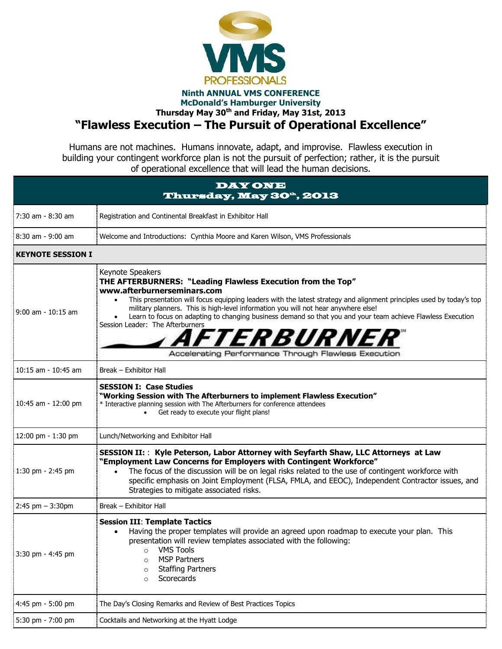

## **Ninth ANNUAL VMS CONFERENCE McDonald's Hamburger University Thursday May 30 th and Friday, May 31st, 2013 "Flawless Execution – The Pursuit of Operational Excellence"**

Humans are not machines. Humans innovate, adapt, and improvise. Flawless execution in building your contingent workforce plan is not the pursuit of perfection; rather, it is the pursuit of operational excellence that will lead the human decisions.

| <b>DAY ONE</b><br>Thursday, May 30 <sup>a</sup> , 2013 |                                                                                                                                                                                                                                                                                                                                                                                                                                                                                                                                                              |  |
|--------------------------------------------------------|--------------------------------------------------------------------------------------------------------------------------------------------------------------------------------------------------------------------------------------------------------------------------------------------------------------------------------------------------------------------------------------------------------------------------------------------------------------------------------------------------------------------------------------------------------------|--|
| 7:30 am - 8:30 am                                      | Registration and Continental Breakfast in Exhibitor Hall                                                                                                                                                                                                                                                                                                                                                                                                                                                                                                     |  |
| $8:30$ am - 9:00 am                                    | Welcome and Introductions: Cynthia Moore and Karen Wilson, VMS Professionals                                                                                                                                                                                                                                                                                                                                                                                                                                                                                 |  |
| <b>KEYNOTE SESSION I</b>                               |                                                                                                                                                                                                                                                                                                                                                                                                                                                                                                                                                              |  |
| $9:00$ am - $10:15$ am                                 | Keynote Speakers<br>THE AFTERBURNERS: "Leading Flawless Execution from the Top"<br>www.afterburnerseminars.com<br>This presentation will focus equipping leaders with the latest strategy and alignment principles used by today's top<br>military planners. This is high-level information you will not hear anywhere else!<br>Learn to focus on adapting to changing business demand so that you and your team achieve Flawless Execution<br>Session Leader: The Afterburners<br><i>AFTERBURNER</i><br>Accelerating Performance Through Flawless Execution |  |
| $10:15$ am - $10:45$ am                                | Break - Exhibitor Hall                                                                                                                                                                                                                                                                                                                                                                                                                                                                                                                                       |  |
| 10:45 am - 12:00 pm                                    | <b>SESSION I: Case Studies</b><br>"Working Session with The Afterburners to implement Flawless Execution"<br>* Interactive planning session with The Afterburners for conference attendees<br>Get ready to execute your flight plans!                                                                                                                                                                                                                                                                                                                        |  |
| 12:00 pm - 1:30 pm                                     | Lunch/Networking and Exhibitor Hall                                                                                                                                                                                                                                                                                                                                                                                                                                                                                                                          |  |
| 1:30 pm - 2:45 pm                                      | SESSION II: : Kyle Peterson, Labor Attorney with Seyfarth Shaw, LLC Attorneys at Law<br>"Employment Law Concerns for Employers with Contingent Workforce"<br>The focus of the discussion will be on legal risks related to the use of contingent workforce with<br>specific emphasis on Joint Employment (FLSA, FMLA, and EEOC), Independent Contractor issues, and<br>Strategies to mitigate associated risks.                                                                                                                                              |  |
| $2:45$ pm $-3:30$ pm                                   | Break - Exhibitor Hall                                                                                                                                                                                                                                                                                                                                                                                                                                                                                                                                       |  |
| 3:30 pm - 4:45 pm                                      | <b>Session III: Template Tactics</b><br>Having the proper templates will provide an agreed upon roadmap to execute your plan. This<br>$\bullet$<br>presentation will review templates associated with the following:<br><b>VMS Tools</b><br>$\circ$<br><b>MSP Partners</b><br>O<br><b>Staffing Partners</b><br>$\circ$<br>Scorecards<br>$\circ$                                                                                                                                                                                                              |  |
| 4:45 pm - 5:00 pm                                      | The Day's Closing Remarks and Review of Best Practices Topics                                                                                                                                                                                                                                                                                                                                                                                                                                                                                                |  |
| 5:30 pm - 7:00 pm                                      | Cocktails and Networking at the Hyatt Lodge                                                                                                                                                                                                                                                                                                                                                                                                                                                                                                                  |  |